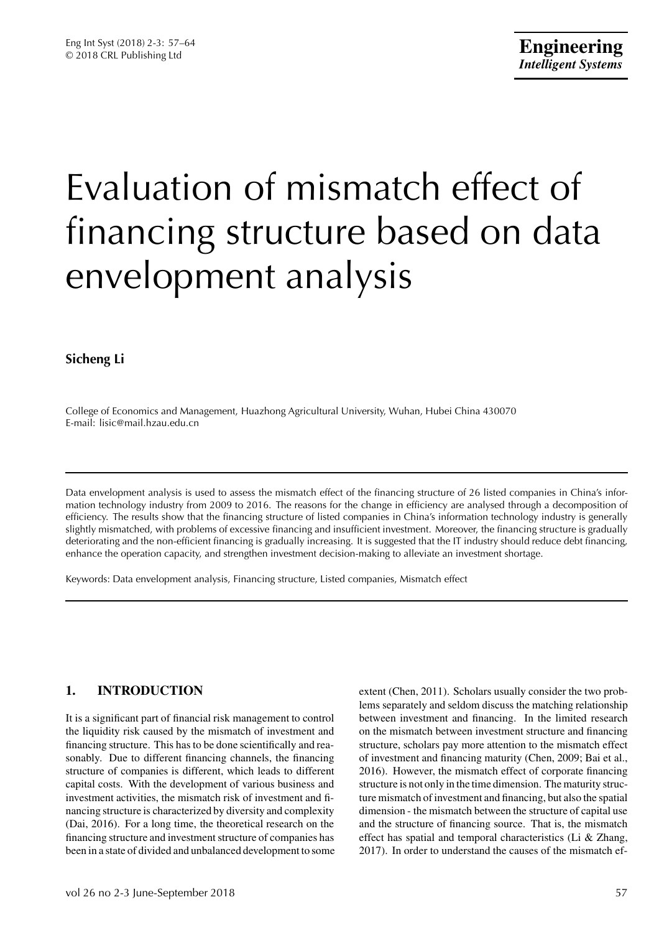# Evaluation of mismatch effect of financing structure based on data envelopment analysis

# **Sicheng Li**

College of Economics and Management, Huazhong Agricultural University, Wuhan, Hubei China 430070 E-mail: lisic@mail.hzau.edu.cn

Data envelopment analysis is used to assess the mismatch effect of the financing structure of 26 listed companies in China's information technology industry from 2009 to 2016. The reasons for the change in efficiency are analysed through a decomposition of efficiency. The results show that the financing structure of listed companies in China's information technology industry is generally slightly mismatched, with problems of excessive financing and insufficient investment. Moreover, the financing structure is gradually deteriorating and the non-efficient financing is gradually increasing. It is suggested that the IT industry should reduce debt financing, enhance the operation capacity, and strengthen investment decision-making to alleviate an investment shortage.

Keywords: Data envelopment analysis, Financing structure, Listed companies, Mismatch effect

# **1. INTRODUCTION**

It is a significant part of financial risk management to control the liquidity risk caused by the mismatch of investment and financing structure. This has to be done scientifically and reasonably. Due to different financing channels, the financing structure of companies is different, which leads to different capital costs. With the development of various business and investment activities, the mismatch risk of investment and financing structure is characterized by diversity and complexity (Dai, 2016). For a long time, the theoretical research on the financing structure and investment structure of companies has been in a state of divided and unbalanced development to some extent (Chen, 2011). Scholars usually consider the two problems separately and seldom discuss the matching relationship between investment and financing. In the limited research on the mismatch between investment structure and financing structure, scholars pay more attention to the mismatch effect of investment and financing maturity (Chen, 2009; Bai et al., 2016). However, the mismatch effect of corporate financing structure is not only in the time dimension. The maturity structure mismatch of investment and financing, but also the spatial dimension - the mismatch between the structure of capital use and the structure of financing source. That is, the mismatch effect has spatial and temporal characteristics (Li & Zhang, 2017). In order to understand the causes of the mismatch ef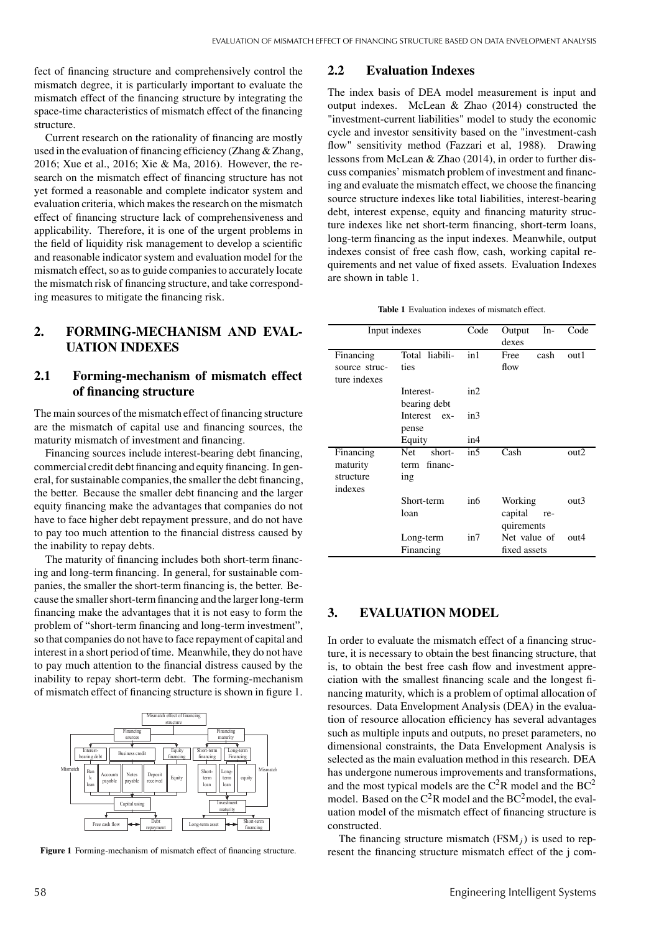fect of financing structure and comprehensively control the mismatch degree, it is particularly important to evaluate the mismatch effect of the financing structure by integrating the space-time characteristics of mismatch effect of the financing structure.

Current research on the rationality of financing are mostly used in the evaluation of financing efficiency (Zhang & Zhang, 2016; Xue et al., 2016; Xie & Ma, 2016). However, the research on the mismatch effect of financing structure has not yet formed a reasonable and complete indicator system and evaluation criteria, which makes the research on the mismatch effect of financing structure lack of comprehensiveness and applicability. Therefore, it is one of the urgent problems in the field of liquidity risk management to develop a scientific and reasonable indicator system and evaluation model for the mismatch effect, so as to guide companies to accurately locate the mismatch risk of financing structure, and take corresponding measures to mitigate the financing risk.

## **2. FORMING-MECHANISM AND EVAL-UATION INDEXES**

## **2.1 Forming-mechanism of mismatch effect of financing structure**

The main sources of the mismatch effect of financing structure are the mismatch of capital use and financing sources, the maturity mismatch of investment and financing.

Financing sources include interest-bearing debt financing, commercial credit debt financing and equity financing. In general, for sustainable companies, the smaller the debt financing, the better. Because the smaller debt financing and the larger equity financing make the advantages that companies do not have to face higher debt repayment pressure, and do not have to pay too much attention to the financial distress caused by the inability to repay debts.

The maturity of financing includes both short-term financing and long-term financing. In general, for sustainable companies, the smaller the short-term financing is, the better. Because the smaller short-term financing andthe larger long-term financing make the advantages that it is not easy to form the problem of "short-term financing and long-term investment", so that companies do not have to face repayment of capital and interest in a short period of time. Meanwhile, they do not have to pay much attention to the financial distress caused by the inability to repay short-term debt. The forming-mechanism of mismatch effect of financing structure is shown in figure 1.



**Figure 1** Forming-mechanism of mismatch effect of financing structure.

#### **2.2 Evaluation Indexes**

The index basis of DEA model measurement is input and output indexes. McLean & Zhao (2014) constructed the "investment-current liabilities" model to study the economic cycle and investor sensitivity based on the "investment-cash flow" sensitivity method (Fazzari et al, 1988). Drawing lessons from McLean & Zhao (2014), in order to further discuss companies' mismatch problem of investment and financing and evaluate the mismatch effect, we choose the financing source structure indexes like total liabilities, interest-bearing debt, interest expense, equity and financing maturity structure indexes like net short-term financing, short-term loans, long-term financing as the input indexes. Meanwhile, output indexes consist of free cash flow, cash, working capital requirements and net value of fixed assets. Evaluation Indexes are shown in table 1.

**Table 1** Evaluation indexes of mismatch effect.

|                               | Input indexes             | Code | Output<br>In-<br>dexes       | Code |
|-------------------------------|---------------------------|------|------------------------------|------|
| Financing                     | Total liabili-            | in1  | Free<br>cash                 | out1 |
| source struc-<br>ture indexes | ties                      |      | flow                         |      |
|                               | Interest-<br>bearing debt | in2  |                              |      |
|                               | Interest ex-<br>pense     | in3  |                              |      |
|                               | Equity                    | in4  |                              |      |
| Financing                     | <b>Net</b><br>short-      | in5  | Cash                         | out2 |
| maturity                      | term financ-              |      |                              |      |
| structure                     | ing                       |      |                              |      |
| indexes                       |                           |      |                              |      |
|                               | Short-term                | in6  | Working                      | out3 |
|                               | loan                      |      | capital<br>re-<br>quirements |      |
|                               | Long-term                 | in7  | Net value of                 | out4 |
|                               | Financing                 |      | fixed assets                 |      |

### **3. EVALUATION MODEL**

In order to evaluate the mismatch effect of a financing structure, it is necessary to obtain the best financing structure, that is, to obtain the best free cash flow and investment appreciation with the smallest financing scale and the longest financing maturity, which is a problem of optimal allocation of resources. Data Envelopment Analysis (DEA) in the evaluation of resource allocation efficiency has several advantages such as multiple inputs and outputs, no preset parameters, no dimensional constraints, the Data Envelopment Analysis is selected as the main evaluation method in this research. DEA has undergone numerous improvements and transformations, and the most typical models are the  $C^2R$  model and the  $BC^2$ model. Based on the  $C^2R$  model and the  $BC^2$  model, the evaluation model of the mismatch effect of financing structure is constructed.

The financing structure mismatch (FSM*j*) is used to represent the financing structure mismatch effect of the j com-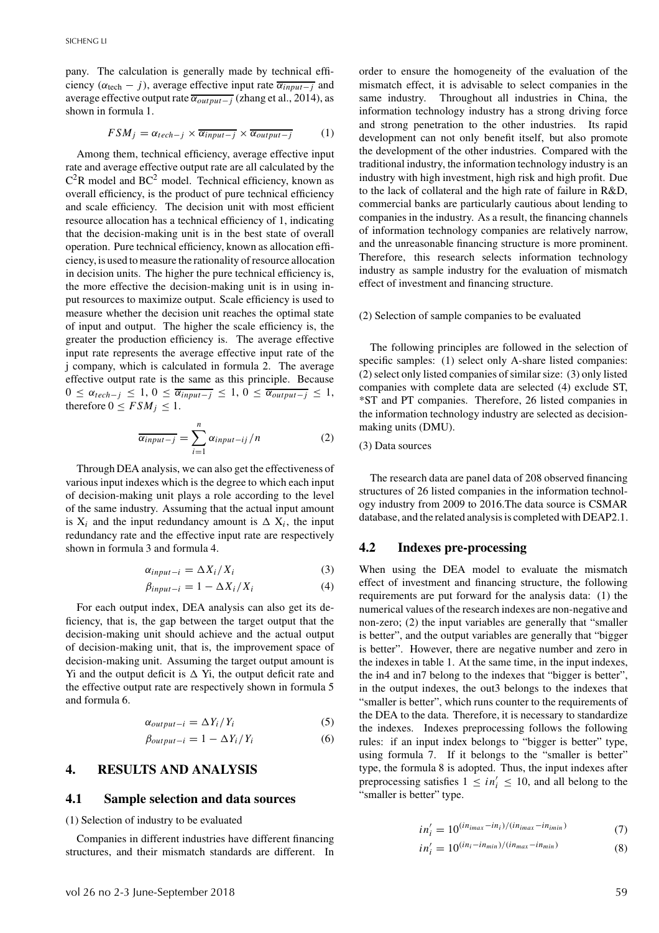pany. The calculation is generally made by technical efficiency ( $\alpha_{\text{tech}} - j$ ), average effective input rate  $\overline{\alpha_{\text{input}-j}}$  and average effective output rate  $\overline{\alpha_{\text{output}-i}}$  (zhang et al., 2014), as shown in formula 1.

$$
FSM_j = \alpha_{tech-j} \times \overline{\alpha_{input-j}} \times \overline{\alpha_{output-j}}
$$
 (1)

Among them, technical efficiency, average effective input rate and average effective output rate are all calculated by the  $C^2R$  model and BC<sup>2</sup> model. Technical efficiency, known as overall efficiency, is the product of pure technical efficiency and scale efficiency. The decision unit with most efficient resource allocation has a technical efficiency of 1, indicating that the decision-making unit is in the best state of overall operation. Pure technical efficiency, known as allocation efficiency, is used to measure the rationality of resource allocation in decision units. The higher the pure technical efficiency is, the more effective the decision-making unit is in using input resources to maximize output. Scale efficiency is used to measure whether the decision unit reaches the optimal state of input and output. The higher the scale efficiency is, the greater the production efficiency is. The average effective input rate represents the average effective input rate of the j company, which is calculated in formula 2. The average effective output rate is the same as this principle. Because  $0 \leq \alpha_{tech-j} \leq 1, 0 \leq \overline{\alpha_{input-j}} \leq 1, 0 \leq \overline{\alpha_{output-j}} \leq 1,$ therefore  $0 \leq FSM_j \leq 1$ .

$$
\overline{\alpha_{input-j}} = \sum_{i=1}^{n} \alpha_{input-ij}/n
$$
 (2)

Through DEA analysis, we can also get the effectiveness of various input indexes which is the degree to which each input of decision-making unit plays a role according to the level of the same industry. Assuming that the actual input amount is  $X_i$  and the input redundancy amount is  $\Delta X_i$ , the input redundancy rate and the effective input rate are respectively shown in formula 3 and formula 4.

$$
\alpha_{input-i} = \Delta X_i / X_i \tag{3}
$$

$$
\beta_{input-i} = 1 - \Delta X_i / X_i \tag{4}
$$

For each output index, DEA analysis can also get its deficiency, that is, the gap between the target output that the decision-making unit should achieve and the actual output of decision-making unit, that is, the improvement space of decision-making unit. Assuming the target output amount is Yi and the output deficit is  $\Delta$  Yi, the output deficit rate and the effective output rate are respectively shown in formula 5 and formula 6.

$$
\alpha_{output-i} = \Delta Y_i / Y_i \tag{5}
$$

$$
\beta_{output-i} = 1 - \Delta Y_i / Y_i \tag{6}
$$

## **4. RESULTS AND ANALYSIS**

#### **4.1 Sample selection and data sources**

(1) Selection of industry to be evaluated

Companies in different industries have different financing structures, and their mismatch standards are different. In order to ensure the homogeneity of the evaluation of the mismatch effect, it is advisable to select companies in the same industry. Throughout all industries in China, the information technology industry has a strong driving force and strong penetration to the other industries. Its rapid development can not only benefit itself, but also promote the development of the other industries. Compared with the traditional industry, the information technology industry is an industry with high investment, high risk and high profit. Due to the lack of collateral and the high rate of failure in R&D, commercial banks are particularly cautious about lending to companies in the industry. As a result, the financing channels of information technology companies are relatively narrow, and the unreasonable financing structure is more prominent. Therefore, this research selects information technology industry as sample industry for the evaluation of mismatch effect of investment and financing structure.

#### (2) Selection of sample companies to be evaluated

The following principles are followed in the selection of specific samples: (1) select only A-share listed companies: (2) select only listed companies of similar size: (3) only listed companies with complete data are selected (4) exclude ST, \*ST and PT companies. Therefore, 26 listed companies in the information technology industry are selected as decisionmaking units (DMU).

(3) Data sources

The research data are panel data of 208 observed financing structures of 26 listed companies in the information technology industry from 2009 to 2016.The data source is CSMAR database, and the related analysis is completed with DEAP2.1.

#### **4.2 Indexes pre-processing**

When using the DEA model to evaluate the mismatch effect of investment and financing structure, the following requirements are put forward for the analysis data: (1) the numerical values of the research indexes are non-negative and non-zero; (2) the input variables are generally that "smaller is better", and the output variables are generally that "bigger is better". However, there are negative number and zero in the indexes in table 1. At the same time, in the input indexes, the in4 and in7 belong to the indexes that "bigger is better", in the output indexes, the out3 belongs to the indexes that "smaller is better", which runs counter to the requirements of the DEA to the data. Therefore, it is necessary to standardize the indexes. Indexes preprocessing follows the following rules: if an input index belongs to "bigger is better" type, using formula 7. If it belongs to the "smaller is better" type, the formula 8 is adopted. Thus, the input indexes after preprocessing satisfies  $1 \leq in'_i \leq 10$ , and all belong to the "smaller is better" type.

$$
in'_{i} = 10^{(in_{imax} - in_{i})/(in_{imax} - in_{imin})}
$$
\n
$$
(7)
$$

$$
in'_{i} = 10^{(in_{i} - in_{min})/(in_{max} - in_{min})}
$$
\n
$$
(8)
$$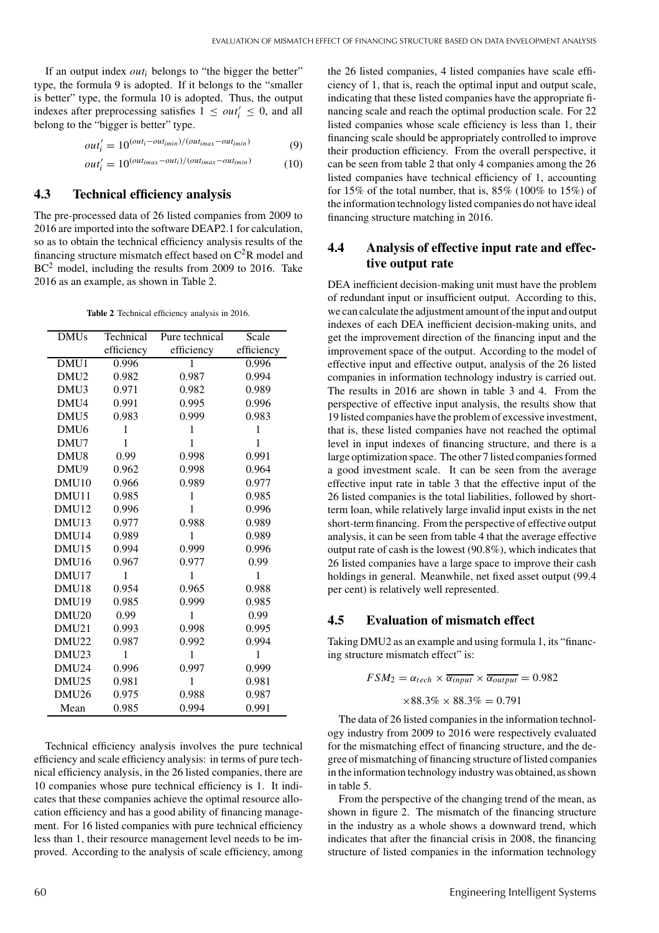If an output index *out<sub>i</sub>* belongs to "the bigger the better" type, the formula 9 is adopted. If it belongs to the "smaller is better" type, the formula 10 is adopted. Thus, the output indexes after preprocessing satisfies  $1 \leq out_i' \leq 0$ , and all belong to the "bigger is better" type.

$$
out'_{i} = 10^{(out_i - out_{imin})/(out_{imax} - out_{imin})}
$$
(9)

$$
out'_{i} = 10^{(out_{imax} - out_{i})/(out_{imax} - out_{imin})}
$$
 (10)

## **4.3 Technical efficiency analysis**

The pre-processed data of 26 listed companies from 2009 to 2016 are imported into the software DEAP2.1 for calculation, so as to obtain the technical efficiency analysis results of the financing structure mismatch effect based on  $C^2R$  model and BC<sup>2</sup> model, including the results from 2009 to 2016. Take 2016 as an example, as shown in Table 2.

**Table 2** Technical efficiency analysis in 2016.

| <b>DMUs</b>       | Technical  | Pure technical | Scale      |
|-------------------|------------|----------------|------------|
|                   | efficiency | efficiency     | efficiency |
| DMU1              | 0.996      | 1              | 0.996      |
| DMU <sub>2</sub>  | 0.982      | 0.987          | 0.994      |
| DMU <sub>3</sub>  | 0.971      | 0.982          | 0.989      |
| DMU4              | 0.991      | 0.995          | 0.996      |
| DMU <sub>5</sub>  | 0.983      | 0.999          | 0.983      |
| DMU <sub>6</sub>  | 1          | 1              | 1          |
| DMU7              | 1          | 1              | 1          |
| DMU <sub>8</sub>  | 0.99       | 0.998          | 0.991      |
| DMU9              | 0.962      | 0.998          | 0.964      |
| DMU <sub>10</sub> | 0.966      | 0.989          | 0.977      |
| DMU11             | 0.985      | 1              | 0.985      |
| DMU <sub>12</sub> | 0.996      | 1              | 0.996      |
| DMU <sub>13</sub> | 0.977      | 0.988          | 0.989      |
| DMU14             | 0.989      | 1              | 0.989      |
| DMU <sub>15</sub> | 0.994      | 0.999          | 0.996      |
| DMU <sub>16</sub> | 0.967      | 0.977          | 0.99       |
| DMU17             | 1          | 1              | 1          |
| DMU18             | 0.954      | 0.965          | 0.988      |
| DMU19             | 0.985      | 0.999          | 0.985      |
| DMU <sub>20</sub> | 0.99       | 1              | 0.99       |
| DMU21             | 0.993      | 0.998          | 0.995      |
| DMU22             | 0.987      | 0.992          | 0.994      |
| DMU <sub>23</sub> | 1          | 1              | 1          |
| DMU24             | 0.996      | 0.997          | 0.999      |
| DMU <sub>25</sub> | 0.981      | 1              | 0.981      |
| DMU <sub>26</sub> | 0.975      | 0.988          | 0.987      |
| Mean              | 0.985      | 0.994          | 0.991      |

Technical efficiency analysis involves the pure technical efficiency and scale efficiency analysis: in terms of pure technical efficiency analysis, in the 26 listed companies, there are 10 companies whose pure technical efficiency is 1. It indicates that these companies achieve the optimal resource allocation efficiency and has a good ability of financing management. For 16 listed companies with pure technical efficiency less than 1, their resource management level needs to be improved. According to the analysis of scale efficiency, among the 26 listed companies, 4 listed companies have scale efficiency of 1, that is, reach the optimal input and output scale, indicating that these listed companies have the appropriate financing scale and reach the optimal production scale. For 22 listed companies whose scale efficiency is less than 1, their financing scale should be appropriately controlled to improve their production efficiency. From the overall perspective, it can be seen from table 2 that only 4 companies among the 26 listed companies have technical efficiency of 1, accounting for 15% of the total number, that is, 85% (100% to 15%) of the information technology listed companies do not have ideal financing structure matching in 2016.

## **4.4 Analysis of effective input rate and effective output rate**

DEA inefficient decision-making unit must have the problem of redundant input or insufficient output. According to this, we can calculate the adjustment amount of the input and output indexes of each DEA inefficient decision-making units, and get the improvement direction of the financing input and the improvement space of the output. According to the model of effective input and effective output, analysis of the 26 listed companies in information technology industry is carried out. The results in 2016 are shown in table 3 and 4. From the perspective of effective input analysis, the results show that 19 listed companies have the problem of excessive investment, that is, these listed companies have not reached the optimal level in input indexes of financing structure, and there is a large optimization space. The other 7 listed companies formed a good investment scale. It can be seen from the average effective input rate in table 3 that the effective input of the 26 listed companies is the total liabilities, followed by shortterm loan, while relatively large invalid input exists in the net short-term financing. From the perspective of effective output analysis, it can be seen from table 4 that the average effective output rate of cash is the lowest (90.8%), which indicates that 26 listed companies have a large space to improve their cash holdings in general. Meanwhile, net fixed asset output (99.4 per cent) is relatively well represented.

#### **4.5 Evaluation of mismatch effect**

Taking DMU2 as an example and using formula 1, its "financing structure mismatch effect" is:

$$
FSM_2 = \alpha_{tech} \times \overline{\alpha_{input}} \times \overline{\alpha_{output}} = 0.982
$$

$$
\times 88.3\% \times 88.3\% = 0.791
$$

The data of 26 listed companies in the information technology industry from 2009 to 2016 were respectively evaluated for the mismatching effect of financing structure, and the degree of mismatching of financing structure of listed companies in the information technology industry was obtained,as shown in table 5.

From the perspective of the changing trend of the mean, as shown in figure 2. The mismatch of the financing structure in the industry as a whole shows a downward trend, which indicates that after the financial crisis in 2008, the financing structure of listed companies in the information technology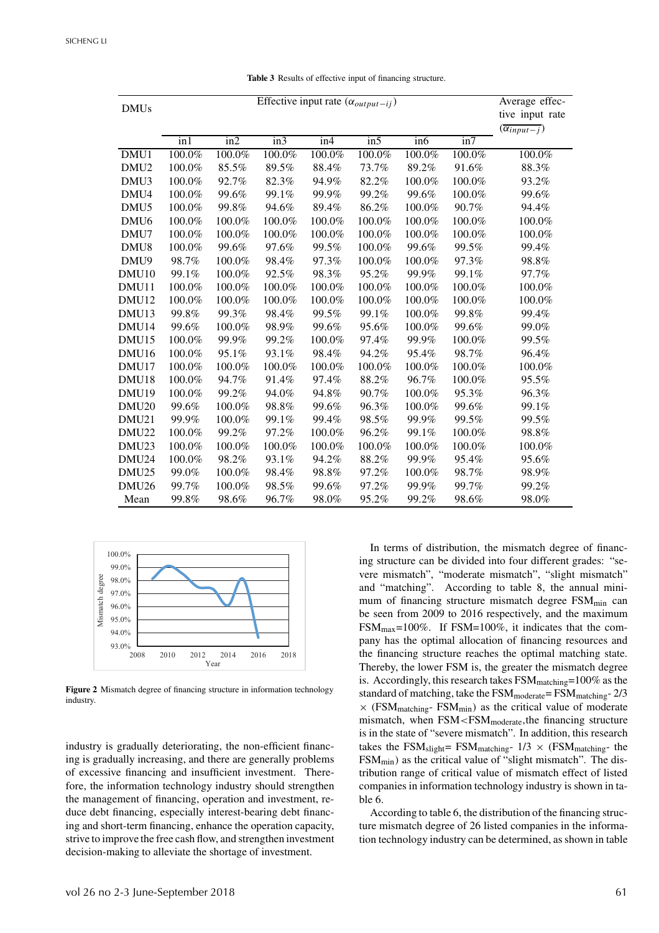| <b>DMUs</b>       |        | Average effec-<br>tive input rate<br>$(\overline{\alpha_{input-j}})$ |        |           |        |        |        |        |
|-------------------|--------|----------------------------------------------------------------------|--------|-----------|--------|--------|--------|--------|
|                   | in1    | $\overline{\text{in2}}$                                              | in3    | in4       | in5    | in 6   | in7    |        |
| DMU1              | 100.0% | 100.0%                                                               | 100.0% | 100.0%    | 100.0% | 100.0% | 100.0% | 100.0% |
| DMU <sub>2</sub>  | 100.0% | 85.5%                                                                | 89.5%  | 88.4%     | 73.7%  | 89.2%  | 91.6%  | 88.3%  |
| DMU3              | 100.0% | 92.7%                                                                | 82.3%  | 94.9%     | 82.2%  | 100.0% | 100.0% | 93.2%  |
| DMU4              | 100.0% | 99.6%                                                                | 99.1%  | 99.9%     | 99.2%  | 99.6%  | 100.0% | 99.6%  |
| DMU <sub>5</sub>  | 100.0% | 99.8%                                                                | 94.6%  | 89.4%     | 86.2%  | 100.0% | 90.7%  | 94.4%  |
| DMU <sub>6</sub>  | 100.0% | 100.0%                                                               | 100.0% | 100.0%    | 100.0% | 100.0% | 100.0% | 100.0% |
| DMU7              | 100.0% | 100.0%                                                               | 100.0% | 100.0%    | 100.0% | 100.0% | 100.0% | 100.0% |
| DMU8              | 100.0% | 99.6%                                                                | 97.6%  | 99.5%     | 100.0% | 99.6%  | 99.5%  | 99.4%  |
| DMU9              | 98.7%  | 100.0%                                                               | 98.4%  | 97.3%     | 100.0% | 100.0% | 97.3%  | 98.8%  |
| DMU <sub>10</sub> | 99.1%  | 100.0%                                                               | 92.5%  | 98.3%     | 95.2%  | 99.9%  | 99.1%  | 97.7%  |
| DMU11             | 100.0% | 100.0%                                                               | 100.0% | 100.0%    | 100.0% | 100.0% | 100.0% | 100.0% |
| DMU12             | 100.0% | 100.0%                                                               | 100.0% | 100.0%    | 100.0% | 100.0% | 100.0% | 100.0% |
| DMU13             | 99.8%  | 99.3%                                                                | 98.4%  | 99.5%     | 99.1%  | 100.0% | 99.8%  | 99.4%  |
| DMU <sub>14</sub> | 99.6%  | 100.0%                                                               | 98.9%  | 99.6%     | 95.6%  | 100.0% | 99.6%  | 99.0%  |
| DMU15             | 100.0% | 99.9%                                                                | 99.2%  | $100.0\%$ | 97.4%  | 99.9%  | 100.0% | 99.5%  |
| DMU16             | 100.0% | 95.1%                                                                | 93.1%  | 98.4%     | 94.2%  | 95.4%  | 98.7%  | 96.4%  |
| DMU17             | 100.0% | 100.0%                                                               | 100.0% | 100.0%    | 100.0% | 100.0% | 100.0% | 100.0% |
| DMU18             | 100.0% | 94.7%                                                                | 91.4%  | 97.4%     | 88.2%  | 96.7%  | 100.0% | 95.5%  |
| DMU <sub>19</sub> | 100.0% | 99.2%                                                                | 94.0%  | 94.8%     | 90.7%  | 100.0% | 95.3%  | 96.3%  |
| DMU <sub>20</sub> | 99.6%  | 100.0%                                                               | 98.8%  | 99.6%     | 96.3%  | 100.0% | 99.6%  | 99.1%  |
| DMU21             | 99.9%  | 100.0%                                                               | 99.1%  | 99.4%     | 98.5%  | 99.9%  | 99.5%  | 99.5%  |
| DMU22             | 100.0% | 99.2%                                                                | 97.2%  | 100.0%    | 96.2%  | 99.1%  | 100.0% | 98.8%  |
| DMU <sub>23</sub> | 100.0% | 100.0%                                                               | 100.0% | 100.0%    | 100.0% | 100.0% | 100.0% | 100.0% |
| DMU <sub>24</sub> | 100.0% | 98.2%                                                                | 93.1%  | 94.2%     | 88.2%  | 99.9%  | 95.4%  | 95.6%  |
| DMU <sub>25</sub> | 99.0%  | 100.0%                                                               | 98.4%  | 98.8%     | 97.2%  | 100.0% | 98.7%  | 98.9%  |
| DMU <sub>26</sub> | 99.7%  | 100.0%                                                               | 98.5%  | 99.6%     | 97.2%  | 99.9%  | 99.7%  | 99.2%  |
| Mean              | 99.8%  | 98.6%                                                                | 96.7%  | 98.0%     | 95.2%  | 99.2%  | 98.6%  | 98.0%  |

**Table 3** Results of effective input of financing structure.



**Figure 2** Mismatch degree of financing structure in information technology industry.

industry is gradually deteriorating, the non-efficient financing is gradually increasing, and there are generally problems of excessive financing and insufficient investment. Therefore, the information technology industry should strengthen the management of financing, operation and investment, reduce debt financing, especially interest-bearing debt financing and short-term financing, enhance the operation capacity, strive to improve the free cash flow, and strengthen investment decision-making to alleviate the shortage of investment.

In terms of distribution, the mismatch degree of financing structure can be divided into four different grades: "severe mismatch", "moderate mismatch", "slight mismatch" and "matching". According to table 8, the annual minimum of financing structure mismatch degree  $FSM<sub>min</sub>$  can be seen from 2009 to 2016 respectively, and the maximum  $FSM_{\text{max}}=100\%$ . If  $FSM=100\%$ , it indicates that the company has the optimal allocation of financing resources and the financing structure reaches the optimal matching state. Thereby, the lower FSM is, the greater the mismatch degree is. Accordingly, this research takes  $\text{FSM}_{\text{matching}}$ =100% as the standard of matching, take the  $FSM_{\text{moderate}} = FSM_{\text{matching}} - 2/3$  $\times$  (FSM<sub>matching</sub>- FSM<sub>min</sub>) as the critical value of moderate mismatch, when FSM<FSM<sub>moderate</sub>,the financing structure is in the state of "severe mismatch". In addition, this research takes the FSM<sub>slight</sub>= FSM<sub>matching</sub>-  $1/3 \times$  (FSM<sub>matching</sub>- the FSMmin) as the critical value of "slight mismatch". The distribution range of critical value of mismatch effect of listed companies in information technology industry is shown in table 6.

According to table 6, the distribution of the financing structure mismatch degree of 26 listed companies in the information technology industry can be determined, as shown in table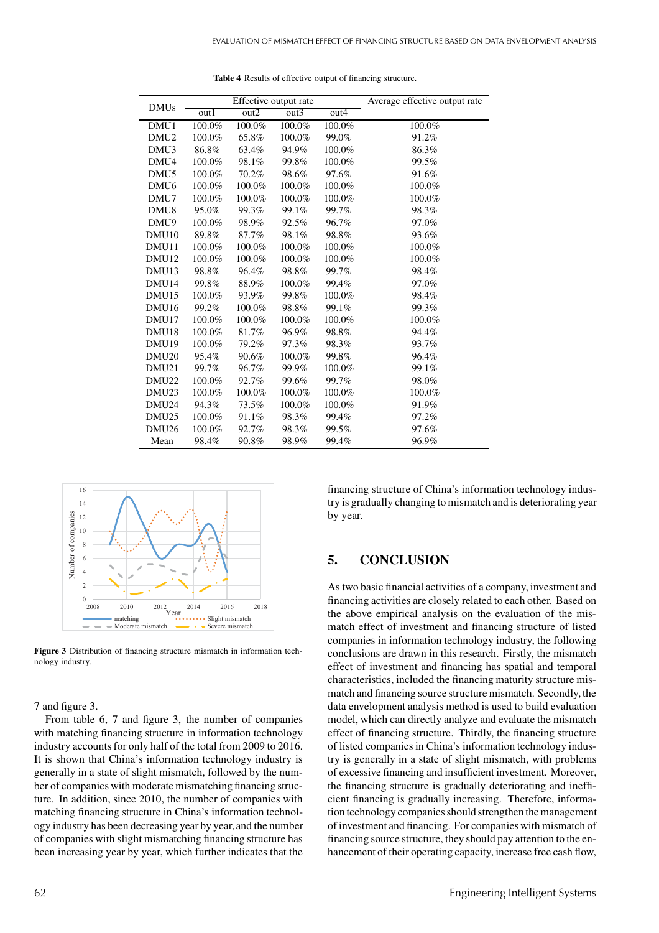|                   | Effective output rate |        |        |        | Average effective output rate |
|-------------------|-----------------------|--------|--------|--------|-------------------------------|
| <b>DMUs</b>       | out1                  | out2   | out3   | out4   |                               |
| DMU1              | 100.0%                | 100.0% | 100.0% | 100.0% | 100.0%                        |
| DMU <sub>2</sub>  | 100.0%                | 65.8%  | 100.0% | 99.0%  | 91.2%                         |
| DMU <sub>3</sub>  | 86.8%                 | 63.4%  | 94.9%  | 100.0% | 86.3%                         |
| DMU4              | 100.0%                | 98.1%  | 99.8%  | 100.0% | 99.5%                         |
| DMU <sub>5</sub>  | 100.0%                | 70.2%  | 98.6%  | 97.6%  | 91.6%                         |
| DMU <sub>6</sub>  | 100.0%                | 100.0% | 100.0% | 100.0% | 100.0%                        |
| DMU7              | 100.0%                | 100.0% | 100.0% | 100.0% | 100.0%                        |
| DMU <sub>8</sub>  | 95.0%                 | 99.3%  | 99.1%  | 99.7%  | 98.3%                         |
| DMU9              | 100.0%                | 98.9%  | 92.5%  | 96.7%  | 97.0%                         |
| DMU <sub>10</sub> | 89.8%                 | 87.7%  | 98.1%  | 98.8%  | 93.6%                         |
| DMU11             | 100.0%                | 100.0% | 100.0% | 100.0% | 100.0%                        |
| DMU <sub>12</sub> | 100.0%                | 100.0% | 100.0% | 100.0% | 100.0%                        |
| DMU <sub>13</sub> | 98.8%                 | 96.4%  | 98.8%  | 99.7%  | 98.4%                         |
| DMU <sub>14</sub> | 99.8%                 | 88.9%  | 100.0% | 99.4%  | 97.0%                         |
| DMU <sub>15</sub> | 100.0%                | 93.9%  | 99.8%  | 100.0% | 98.4%                         |
| DMU <sub>16</sub> | 99.2%                 | 100.0% | 98.8%  | 99.1%  | 99.3%                         |
| DMU17             | 100.0%                | 100.0% | 100.0% | 100.0% | 100.0%                        |
| DMU <sub>18</sub> | 100.0%                | 81.7%  | 96.9%  | 98.8%  | 94.4%                         |
| DMU <sub>19</sub> | 100.0%                | 79.2%  | 97.3%  | 98.3%  | 93.7%                         |
| DMU <sub>20</sub> | 95.4%                 | 90.6%  | 100.0% | 99.8%  | 96.4%                         |
| DMU21             | 99.7%                 | 96.7%  | 99.9%  | 100.0% | 99.1%                         |
| DMU22             | 100.0%                | 92.7%  | 99.6%  | 99.7%  | 98.0%                         |
| DMU <sub>23</sub> | 100.0%                | 100.0% | 100.0% | 100.0% | 100.0%                        |
| DMU <sub>24</sub> | 94.3%                 | 73.5%  | 100.0% | 100.0% | 91.9%                         |
| DMU <sub>25</sub> | 100.0%                | 91.1%  | 98.3%  | 99.4%  | 97.2%                         |
| DMU <sub>26</sub> | 100.0%                | 92.7%  | 98.3%  | 99.5%  | 97.6%                         |
| Mean              | 98.4%                 | 90.8%  | 98.9%  | 99.4%  | 96.9%                         |

**Table 4** Results of effective output of financing structure.



**Figure 3** Distribution of financing structure mismatch in information technology industry.

7 and figure 3.

From table 6, 7 and figure 3, the number of companies with matching financing structure in information technology industry accounts for only half of the total from 2009 to 2016. It is shown that China's information technology industry is generally in a state of slight mismatch, followed by the number of companies with moderate mismatching financing structure. In addition, since 2010, the number of companies with matching financing structure in China's information technology industry has been decreasing year by year, and the number of companies with slight mismatching financing structure has been increasing year by year, which further indicates that the

financing structure of China's information technology industry is gradually changing to mismatch and is deteriorating year by year.

## **5. CONCLUSION**

As two basic financial activities of a company, investment and financing activities are closely related to each other. Based on the above empirical analysis on the evaluation of the mismatch effect of investment and financing structure of listed companies in information technology industry, the following conclusions are drawn in this research. Firstly, the mismatch effect of investment and financing has spatial and temporal characteristics, included the financing maturity structure mismatch and financing source structure mismatch. Secondly, the data envelopment analysis method is used to build evaluation model, which can directly analyze and evaluate the mismatch effect of financing structure. Thirdly, the financing structure of listed companies in China's information technology industry is generally in a state of slight mismatch, with problems of excessive financing and insufficient investment. Moreover, the financing structure is gradually deteriorating and inefficient financing is gradually increasing. Therefore, information technology companies should strengthen the management of investment and financing. For companies with mismatch of financing source structure, they should pay attention to the enhancement of their operating capacity, increase free cash flow,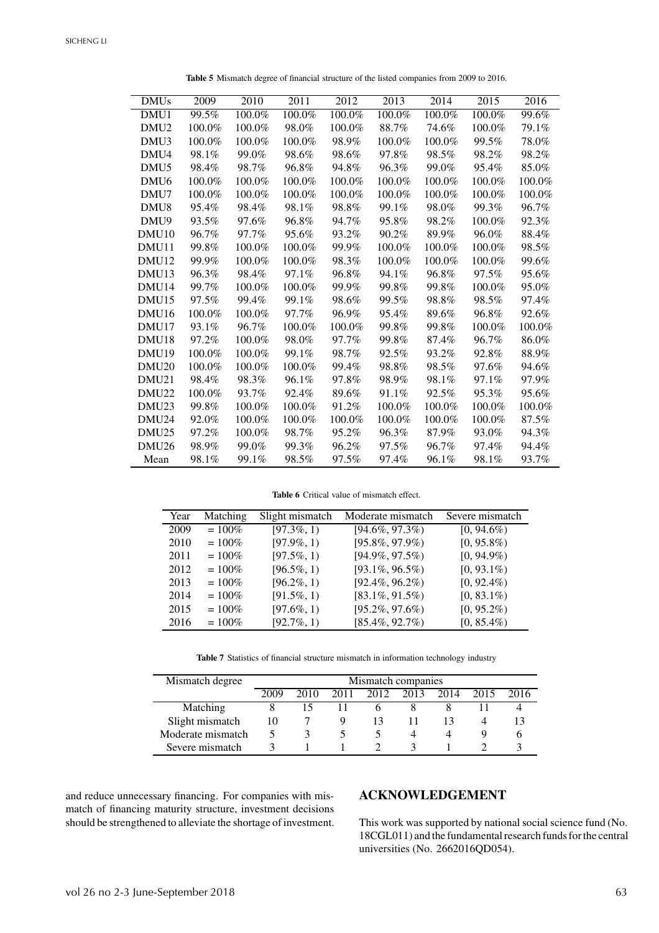| <b>DMUs</b>       | 2009   | 2010   | 2011   | 2012   | 2013   | 2014   | 2015   | 2016   |
|-------------------|--------|--------|--------|--------|--------|--------|--------|--------|
| DMU1              | 99.5%  | 100.0% | 100.0% | 100.0% | 100.0% | 100.0% | 100.0% | 99.6%  |
| DMU <sub>2</sub>  | 100.0% | 100.0% | 98.0%  | 100.0% | 88.7%  | 74.6%  | 100.0% | 79.1%  |
| DMU <sub>3</sub>  | 100.0% | 100.0% | 100.0% | 98.9%  | 100.0% | 100.0% | 99.5%  | 78.0%  |
| DMU4              | 98.1%  | 99.0%  | 98.6%  | 98.6%  | 97.8%  | 98.5%  | 98.2%  | 98.2%  |
| DMU <sub>5</sub>  | 98.4%  | 98.7%  | 96.8%  | 94.8%  | 96.3%  | 99.0%  | 95.4%  | 85.0%  |
| DMU <sub>6</sub>  | 100.0% | 100.0% | 100.0% | 100.0% | 100.0% | 100.0% | 100.0% | 100.0% |
| DMU7              | 100.0% | 100.0% | 100.0% | 100.0% | 100.0% | 100.0% | 100.0% | 100.0% |
| DMU <sub>8</sub>  | 95.4%  | 98.4%  | 98.1%  | 98.8%  | 99.1%  | 98.0%  | 99.3%  | 96.7%  |
| DMU9              | 93.5%  | 97.6%  | 96.8%  | 94.7%  | 95.8%  | 98.2%  | 100.0% | 92.3%  |
| DMU <sub>10</sub> | 96.7%  | 97.7%  | 95.6%  | 93.2%  | 90.2%  | 89.9%  | 96.0%  | 88.4%  |
| DMU11             | 99.8%  | 100.0% | 100.0% | 99.9%  | 100.0% | 100.0% | 100.0% | 98.5%  |
| DMU <sub>12</sub> | 99.9%  | 100.0% | 100.0% | 98.3%  | 100.0% | 100.0% | 100.0% | 99.6%  |
| DMU <sub>13</sub> | 96.3%  | 98.4%  | 97.1%  | 96.8%  | 94.1%  | 96.8%  | 97.5%  | 95.6%  |
| DMU <sub>14</sub> | 99.7%  | 100.0% | 100.0% | 99.9%  | 99.8%  | 99.8%  | 100.0% | 95.0%  |
| DMU <sub>15</sub> | 97.5%  | 99.4%  | 99.1%  | 98.6%  | 99.5%  | 98.8%  | 98.5%  | 97.4%  |
| DMU <sub>16</sub> | 100.0% | 100.0% | 97.7%  | 96.9%  | 95.4%  | 89.6%  | 96.8%  | 92.6%  |
| DMU17             | 93.1%  | 96.7%  | 100.0% | 100.0% | 99.8%  | 99.8%  | 100.0% | 100.0% |
| DMU <sub>18</sub> | 97.2%  | 100.0% | 98.0%  | 97.7%  | 99.8%  | 87.4%  | 96.7%  | 86.0%  |
| DMU <sub>19</sub> | 100.0% | 100.0% | 99.1%  | 98.7%  | 92.5%  | 93.2%  | 92.8%  | 88.9%  |
| DMU <sub>20</sub> | 100.0% | 100.0% | 100.0% | 99.4%  | 98.8%  | 98.5%  | 97.6%  | 94.6%  |
| DMU <sub>21</sub> | 98.4%  | 98.3%  | 96.1%  | 97.8%  | 98.9%  | 98.1%  | 97.1%  | 97.9%  |
| DMU <sub>22</sub> | 100.0% | 93.7%  | 92.4%  | 89.6%  | 91.1%  | 92.5%  | 95.3%  | 95.6%  |
| DMU <sub>23</sub> | 99.8%  | 100.0% | 100.0% | 91.2%  | 100.0% | 100.0% | 100.0% | 100.0% |
| DMU <sub>24</sub> | 92.0%  | 100.0% | 100.0% | 100.0% | 100.0% | 100.0% | 100.0% | 87.5%  |
| DMU <sub>25</sub> | 97.2%  | 100.0% | 98.7%  | 95.2%  | 96.3%  | 87.9%  | 93.0%  | 94.3%  |
| DMU <sub>26</sub> | 98.9%  | 99.0%  | 99.3%  | 96.2%  | 97.5%  | 96.7%  | 97.4%  | 94.4%  |
| Mean              | 98.1%  | 99.1%  | 98.5%  | 97.5%  | 97.4%  | 96.1%  | 98.1%  | 93.7%  |

**Table 5** Mismatch degree of financial structure of the listed companies from 2009 to 2016.

**Table 6** Critical value of mismatch effect.

| Year | Matching  | Slight mismatch    | Moderate mismatch  | Severe mismatch |
|------|-----------|--------------------|--------------------|-----------------|
| 2009 | $= 100\%$ | $\sqrt{97.3\%, 1}$ | $[94.6\%, 97.3\%)$ | $[0, 94.6\%)$   |
| 2010 | $= 100\%$ | $[97.9\%, 1)$      | $[95.8\%, 97.9\%]$ | $[0, 95.8\%)$   |
| 2011 | $= 100\%$ | $[97.5\%, 1)$      | $[94.9\%, 97.5\%)$ | $[0, 94.9\%)$   |
| 2012 | $= 100\%$ | $[96.5\%, 1)$      | $[93.1\%, 96.5\%)$ | $[0, 93.1\%)$   |
| 2013 | $= 100\%$ | $[96.2\%, 1)$      | $[92.4\%, 96.2\%)$ | $[0, 92.4\%)$   |
| 2014 | $= 100\%$ | $[91.5\%, 1)$      | $[83.1\%, 91.5\%)$ | $[0, 83.1\%)$   |
| 2015 | $= 100\%$ | $[97.6\%, 1)$      | $[95.2\%, 97.6\%)$ | $[0, 95.2\%)$   |
| 2016 | $= 100\%$ | $[92.7\%, 1)$      | $[85.4\%, 92.7\%)$ | $[0, 85.4\%)$   |

**Table 7** Statistics of financial structure mismatch in information technology industry

| Mismatch degree   | Mismatch companies |      |      |      |      |      |      |      |
|-------------------|--------------------|------|------|------|------|------|------|------|
|                   | 2009               | 2010 | 2011 | 2012 | 2013 | 2014 | 2015 | 2016 |
| Matching          |                    |      |      |      |      |      |      |      |
| Slight mismatch   | 10                 |      |      |      |      |      |      |      |
| Moderate mismatch |                    | Ĵ,   |      |      |      |      |      |      |
| Severe mismatch   |                    |      |      |      |      |      |      |      |

and reduce unnecessary financing. For companies with mismatch of financing maturity structure, investment decisions should be strengthened to alleviate the shortage of investment.

## **ACKNOWLEDGEMENT**

This work was supported by national social science fund (No. 18CGL011) and the fundamental research funds forthe central universities (No. 2662016QD054).